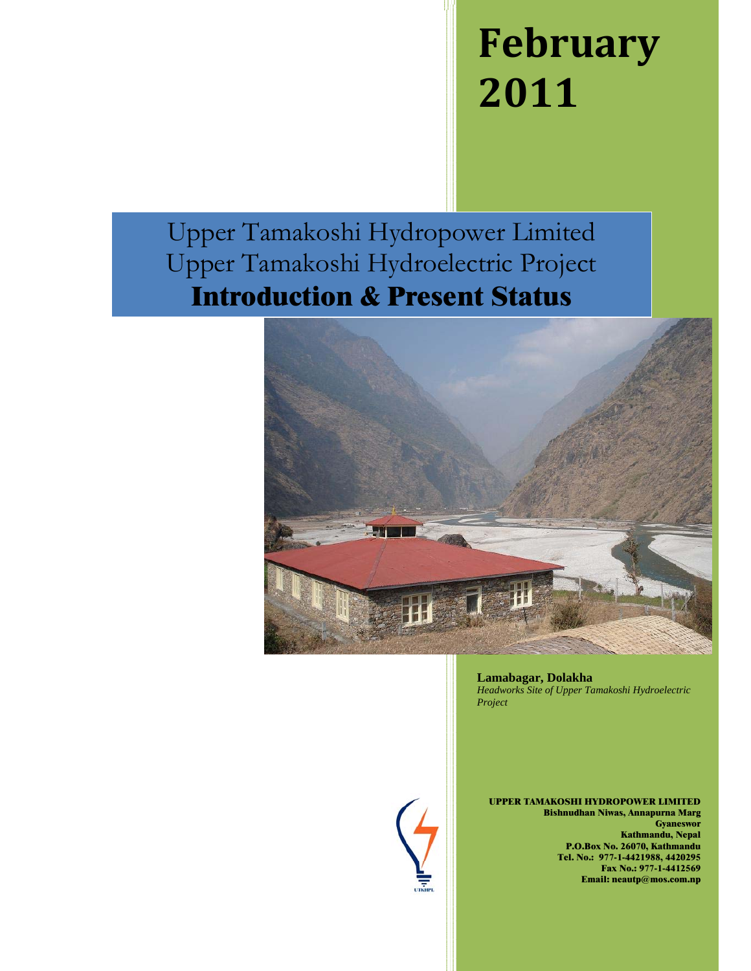# **February 2011**

Upper Tamakoshi Hydropower Limited Upper Tamakoshi Hydroelectric Project **Introduction & Present Status**



**Lamabagar, Dolakha**  *Headworks Site of Upper Tamakoshi Hydroelectric Project* 



**UPPER TAMAKOSHI HYDROPOWER LIMITED Bishnudhan Niwas, Annapurna Marg Gyaneswor Kathmandu, Nepal P.O.Box No. 26070, Kathmandu Tel. No.: 977-1-4421988, 4420295 Fax No.: 977-1-4412569 Email: neautp@mos.com.np**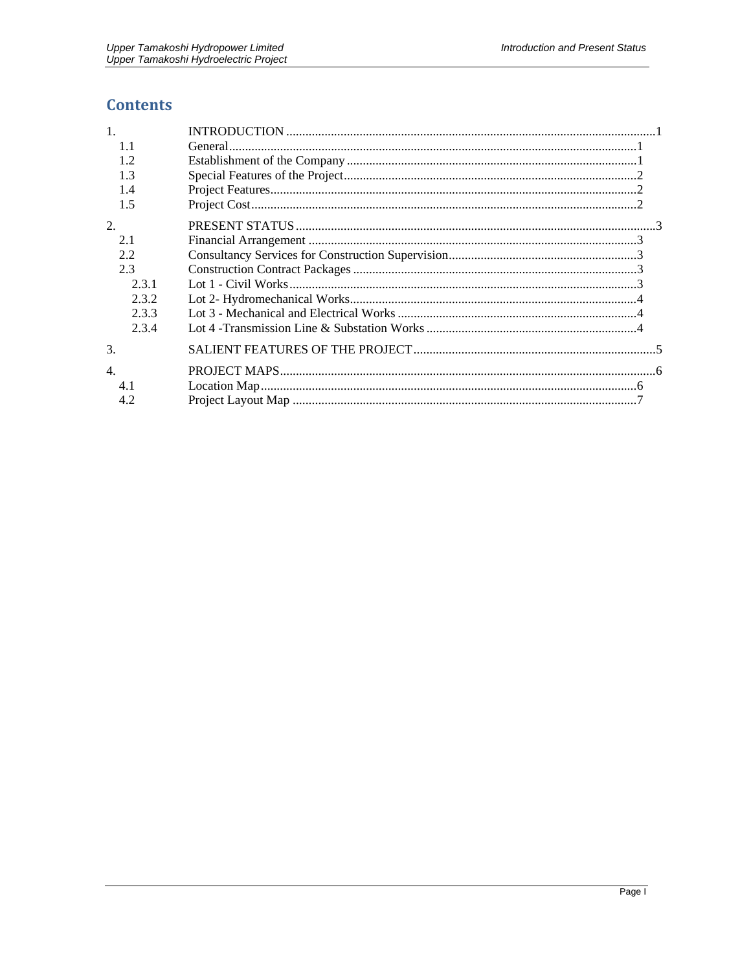# **Contents**

| $\mathbf{1}$ .   |  |
|------------------|--|
| 1.1              |  |
| 1.2              |  |
| 1.3              |  |
| 1.4              |  |
| 1.5              |  |
| 2.               |  |
| 2.1              |  |
| 2.2              |  |
| 2.3              |  |
| 2.3.1            |  |
| 2.3.2            |  |
| 2.3.3            |  |
| 2.3.4            |  |
| 3.               |  |
| $\overline{4}$ . |  |
| 4.1              |  |
| 4.2              |  |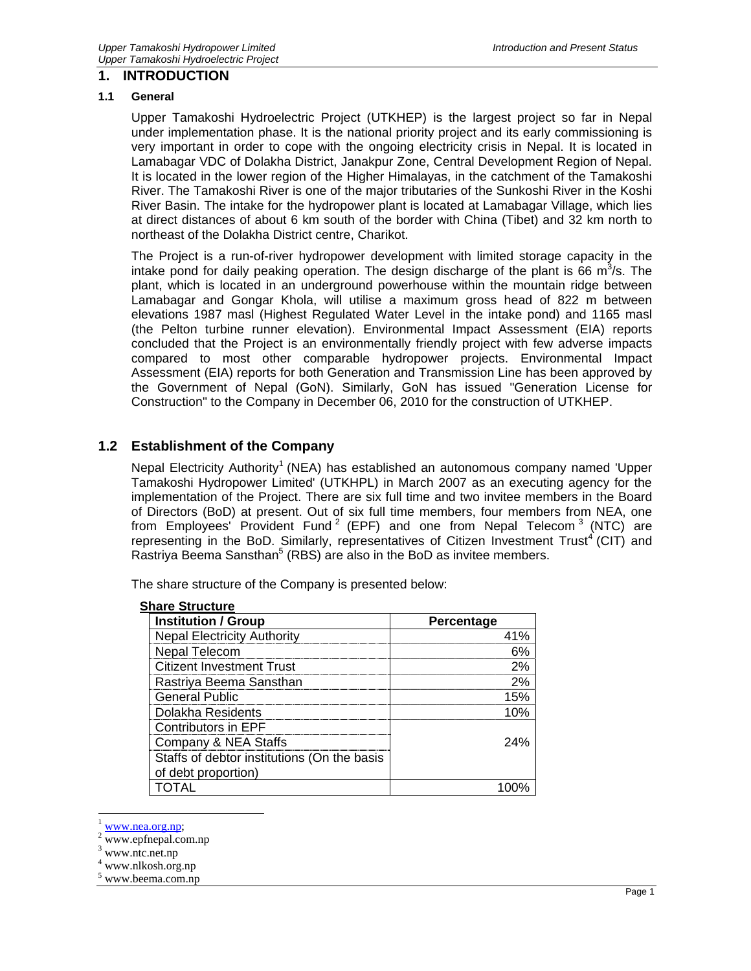#### **1. INTRODUCTION**

#### **1.1 General**

Upper Tamakoshi Hydroelectric Project (UTKHEP) is the largest project so far in Nepal under implementation phase. It is the national priority project and its early commissioning is very important in order to cope with the ongoing electricity crisis in Nepal. It is located in Lamabagar VDC of Dolakha District, Janakpur Zone, Central Development Region of Nepal. It is located in the lower region of the Higher Himalayas, in the catchment of the Tamakoshi River. The Tamakoshi River is one of the major tributaries of the Sunkoshi River in the Koshi River Basin. The intake for the hydropower plant is located at Lamabagar Village, which lies at direct distances of about 6 km south of the border with China (Tibet) and 32 km north to northeast of the Dolakha District centre, Charikot.

The Project is a run-of-river hydropower development with limited storage capacity in the intake pond for daily peaking operation. The design discharge of the plant is 66  $m^3/s$ . The plant, which is located in an underground powerhouse within the mountain ridge between Lamabagar and Gongar Khola, will utilise a maximum gross head of 822 m between elevations 1987 masl (Highest Regulated Water Level in the intake pond) and 1165 masl (the Pelton turbine runner elevation). Environmental Impact Assessment (EIA) reports concluded that the Project is an environmentally friendly project with few adverse impacts compared to most other comparable hydropower projects. Environmental Impact Assessment (EIA) reports for both Generation and Transmission Line has been approved by the Government of Nepal (GoN). Similarly, GoN has issued "Generation License for Construction" to the Company in December 06, 2010 for the construction of UTKHEP.

# **1.2 Establishment of the Company**

Nepal Electricity Authority<sup>1</sup> (NEA) has established an autonomous company named 'Upper Tamakoshi Hydropower Limited' (UTKHPL) in March 2007 as an executing agency for the implementation of the Project. There are six full time and two invitee members in the Board of Directors (BoD) at present. Out of six full time members, four members from NEA, one from Employees' Provident Fund<sup>2</sup> (EPF) and one from Nepal Telecom<sup>3</sup> (NTC) are representing in the BoD. Similarly, representatives of Citizen Investment Trust<sup>4</sup> (CIT) and Rastriya Beema Sansthan<sup>5</sup> (RBS) are also in the BoD as invitee members.

The share structure of the Company is presented below:

| <b>Institution / Group</b>                  | <b>Percentage</b> |
|---------------------------------------------|-------------------|
| <b>Nepal Electricity Authority</b>          | 41%               |
| Nepal Telecom                               | 6%                |
| <b>Citizent Investment Trust</b>            | 2%                |
| Rastriya Beema Sansthan                     | 2%                |
| <b>General Public</b>                       | 15%               |
| Dolakha Residents                           | 10%               |
| Contributors in EPF                         |                   |
| Company & NEA Staffs                        | 24%               |
| Staffs of debtor institutions (On the basis |                   |
| of debt proportion)                         |                   |
| TOTAL                                       |                   |

www.nea.org.np;

 $\overline{a}$ 

www.epfnepal.com.np

<sup>&</sup>lt;sup>3</sup> www.ntc.net.np

<sup>4</sup> www.nlkosh.org.np

<sup>&</sup>lt;sup>5</sup> www.beema.com.np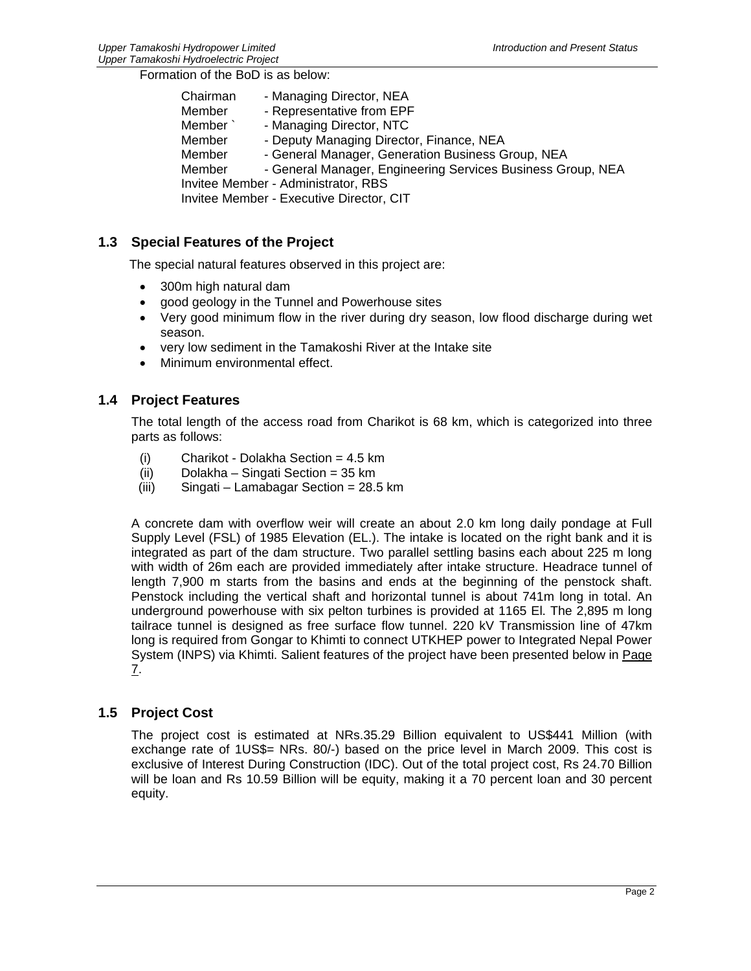Formation of the BoD is as below:

| Chairman                                        | - Managing Director, NEA                                    |  |  |  |
|-------------------------------------------------|-------------------------------------------------------------|--|--|--|
| Member                                          | - Representative from EPF                                   |  |  |  |
| Member`                                         | - Managing Director, NTC                                    |  |  |  |
| Member                                          | - Deputy Managing Director, Finance, NEA                    |  |  |  |
| Member                                          | - General Manager, Generation Business Group, NEA           |  |  |  |
| Member                                          | - General Manager, Engineering Services Business Group, NEA |  |  |  |
| <b>Invitee Member - Administrator, RBS</b>      |                                                             |  |  |  |
| <b>Invitee Member - Executive Director, CIT</b> |                                                             |  |  |  |

# **1.3 Special Features of the Project**

The special natural features observed in this project are:

- 300m high natural dam
- good geology in the Tunnel and Powerhouse sites
- Very good minimum flow in the river during dry season, low flood discharge during wet season.
- very low sediment in the Tamakoshi River at the Intake site
- Minimum environmental effect.

# **1.4 Project Features**

The total length of the access road from Charikot is 68 km, which is categorized into three parts as follows:

- (i) Charikot Dolakha Section = 4.5 km
- (ii) Dolakha Singati Section = 35 km
- (iii) Singati Lamabagar Section = 28.5 km

A concrete dam with overflow weir will create an about 2.0 km long daily pondage at Full Supply Level (FSL) of 1985 Elevation (EL.). The intake is located on the right bank and it is integrated as part of the dam structure. Two parallel settling basins each about 225 m long with width of 26m each are provided immediately after intake structure. Headrace tunnel of length 7,900 m starts from the basins and ends at the beginning of the penstock shaft. Penstock including the vertical shaft and horizontal tunnel is about 741m long in total. An underground powerhouse with six pelton turbines is provided at 1165 El. The 2,895 m long tailrace tunnel is designed as free surface flow tunnel. 220 kV Transmission line of 47km long is required from Gongar to Khimti to connect UTKHEP power to Integrated Nepal Power System (INPS) via Khimti. Salient features of the project have been presented below in Page 7.

# **1.5 Project Cost**

The project cost is estimated at NRs.35.29 Billion equivalent to US\$441 Million (with exchange rate of 1US\$= NRs. 80/-) based on the price level in March 2009. This cost is exclusive of Interest During Construction (IDC). Out of the total project cost, Rs 24.70 Billion will be loan and Rs 10.59 Billion will be equity, making it a 70 percent loan and 30 percent equity.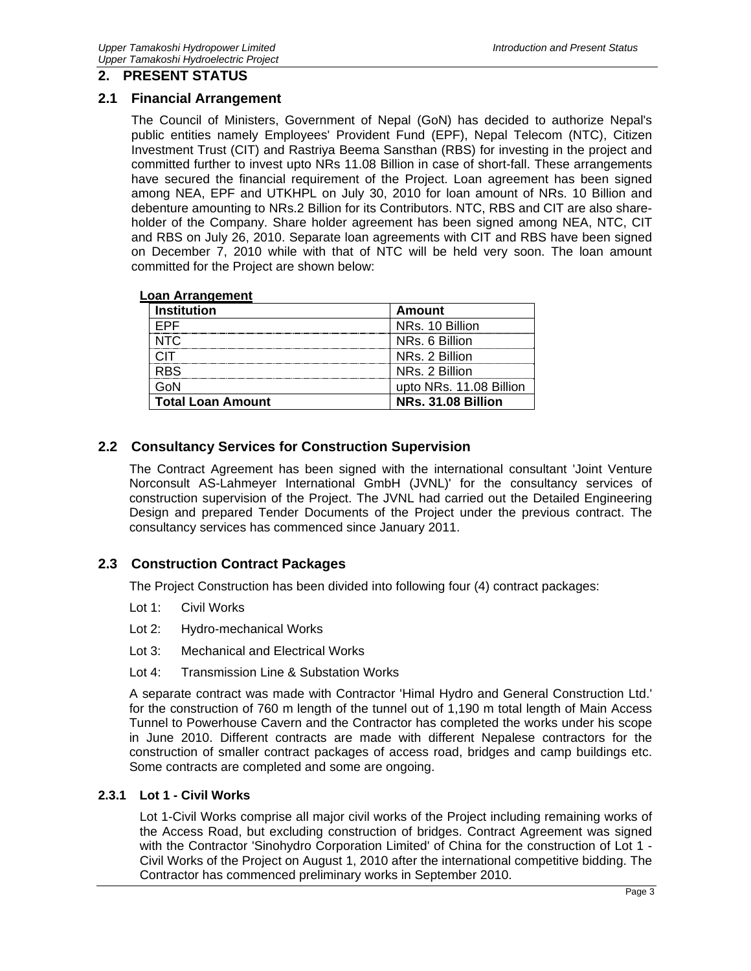# **2. PRESENT STATUS**

#### **2.1 Financial Arrangement**

The Council of Ministers, Government of Nepal (GoN) has decided to authorize Nepal's public entities namely Employees' Provident Fund (EPF), Nepal Telecom (NTC), Citizen Investment Trust (CIT) and Rastriya Beema Sansthan (RBS) for investing in the project and committed further to invest upto NRs 11.08 Billion in case of short-fall. These arrangements have secured the financial requirement of the Project. Loan agreement has been signed among NEA, EPF and UTKHPL on July 30, 2010 for loan amount of NRs. 10 Billion and debenture amounting to NRs.2 Billion for its Contributors. NTC, RBS and CIT are also shareholder of the Company. Share holder agreement has been signed among NEA, NTC, CIT and RBS on July 26, 2010. Separate loan agreements with CIT and RBS have been signed on December 7, 2010 while with that of NTC will be held very soon. The loan amount committed for the Project are shown below:

#### **Loan Arrangement**

| <b>Institution</b>       | Amount                  |
|--------------------------|-------------------------|
| FPF                      | NRs. 10 Billion         |
| NTC.                     | NRs. 6 Billion          |
|                          | NRs. 2 Billion          |
| <b>RBS</b>               | NRs. 2 Billion          |
| GoN                      | upto NRs. 11.08 Billion |
| <b>Total Loan Amount</b> | NRs. 31.08 Billion      |

#### **2.2 Consultancy Services for Construction Supervision**

The Contract Agreement has been signed with the international consultant 'Joint Venture Norconsult AS-Lahmeyer International GmbH (JVNL)' for the consultancy services of construction supervision of the Project. The JVNL had carried out the Detailed Engineering Design and prepared Tender Documents of the Project under the previous contract. The consultancy services has commenced since January 2011.

# **2.3 Construction Contract Packages**

The Project Construction has been divided into following four (4) contract packages:

- Lot 1: Civil Works
- Lot 2: Hydro-mechanical Works
- Lot 3: Mechanical and Electrical Works
- Lot 4: Transmission Line & Substation Works

A separate contract was made with Contractor 'Himal Hydro and General Construction Ltd.' for the construction of 760 m length of the tunnel out of 1,190 m total length of Main Access Tunnel to Powerhouse Cavern and the Contractor has completed the works under his scope in June 2010. Different contracts are made with different Nepalese contractors for the construction of smaller contract packages of access road, bridges and camp buildings etc. Some contracts are completed and some are ongoing.

#### **2.3.1 Lot 1 - Civil Works**

Lot 1-Civil Works comprise all major civil works of the Project including remaining works of the Access Road, but excluding construction of bridges. Contract Agreement was signed with the Contractor 'Sinohydro Corporation Limited' of China for the construction of Lot 1 - Civil Works of the Project on August 1, 2010 after the international competitive bidding. The Contractor has commenced preliminary works in September 2010.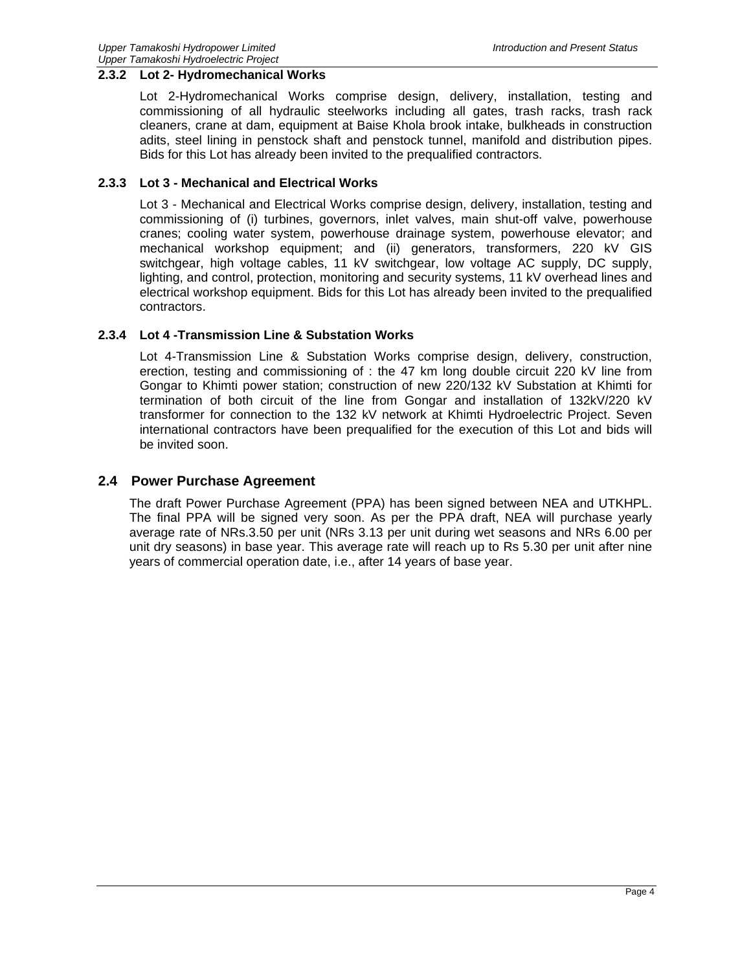#### **2.3.2 Lot 2- Hydromechanical Works**

Lot 2-Hydromechanical Works comprise design, delivery, installation, testing and commissioning of all hydraulic steelworks including all gates, trash racks, trash rack cleaners, crane at dam, equipment at Baise Khola brook intake, bulkheads in construction adits, steel lining in penstock shaft and penstock tunnel, manifold and distribution pipes. Bids for this Lot has already been invited to the prequalified contractors.

#### **2.3.3 Lot 3 - Mechanical and Electrical Works**

Lot 3 - Mechanical and Electrical Works comprise design, delivery, installation, testing and commissioning of (i) turbines, governors, inlet valves, main shut-off valve, powerhouse cranes; cooling water system, powerhouse drainage system, powerhouse elevator; and mechanical workshop equipment; and (ii) generators, transformers, 220 kV GIS switchgear, high voltage cables, 11 kV switchgear, low voltage AC supply, DC supply, lighting, and control, protection, monitoring and security systems, 11 kV overhead lines and electrical workshop equipment. Bids for this Lot has already been invited to the prequalified contractors.

#### **2.3.4 Lot 4 -Transmission Line & Substation Works**

Lot 4-Transmission Line & Substation Works comprise design, delivery, construction, erection, testing and commissioning of : the 47 km long double circuit 220 kV line from Gongar to Khimti power station; construction of new 220/132 kV Substation at Khimti for termination of both circuit of the line from Gongar and installation of 132kV/220 kV transformer for connection to the 132 kV network at Khimti Hydroelectric Project. Seven international contractors have been prequalified for the execution of this Lot and bids will be invited soon.

#### **2.4 Power Purchase Agreement**

The draft Power Purchase Agreement (PPA) has been signed between NEA and UTKHPL. The final PPA will be signed very soon. As per the PPA draft, NEA will purchase yearly average rate of NRs.3.50 per unit (NRs 3.13 per unit during wet seasons and NRs 6.00 per unit dry seasons) in base year. This average rate will reach up to Rs 5.30 per unit after nine years of commercial operation date, i.e., after 14 years of base year.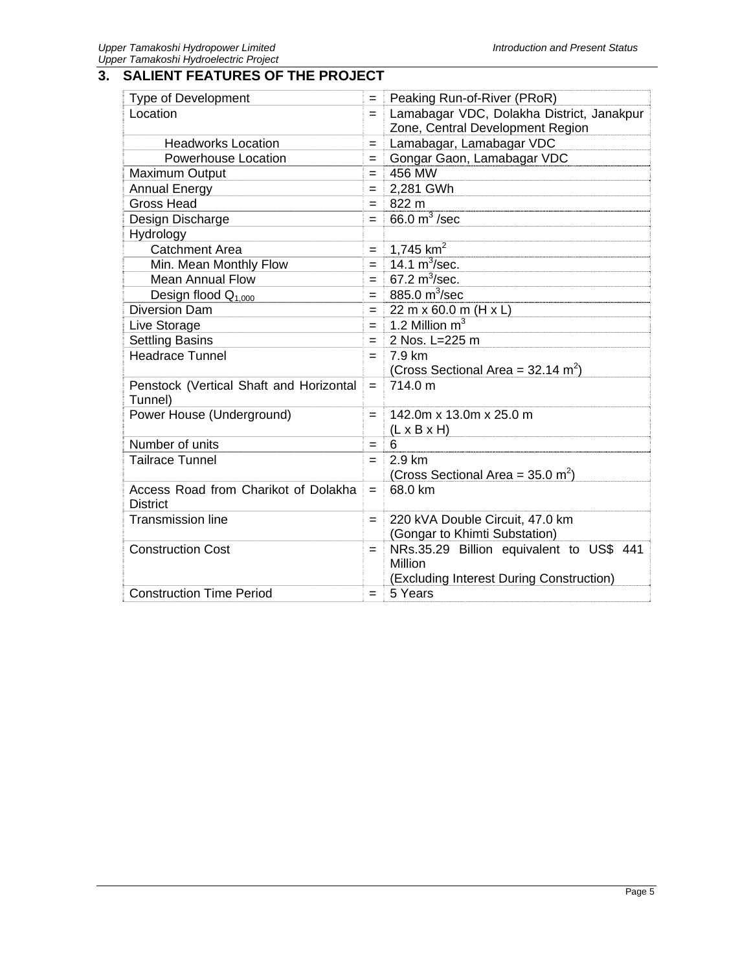# **3. SALIENT FEATURES OF THE PROJECT**

| Type of Development                     |     | Peaking Run-of-River (PRoR)                      |
|-----------------------------------------|-----|--------------------------------------------------|
| Location                                |     | Lamabagar VDC, Dolakha District, Janakpur        |
|                                         |     | Zone, Central Development Region                 |
| <b>Headworks Location</b>               |     | Lamabagar, Lamabagar VDC                         |
| <b>Powerhouse Location</b>              |     | Gongar Gaon, Lamabagar VDC                       |
| <b>Maximum Output</b>                   |     | 456 MW                                           |
| <b>Annual Energy</b>                    |     | 2,281 GWh                                        |
| <b>Gross Head</b>                       |     | 822 m                                            |
| Design Discharge                        |     | $66.0 m3$ /sec                                   |
| Hydrology                               |     |                                                  |
| <b>Catchment Area</b>                   | $=$ | 1,745 $km^2$                                     |
| Min. Mean Monthly Flow                  | $=$ | $14.1 \text{ m}^3/\text{sec}$ .                  |
| Mean Annual Flow                        | $=$ | 67.2 $m^3$ /sec.                                 |
| Design flood $Q_{1,000}$                | $=$ | 885.0 m <sup>3</sup> /sec                        |
| Diversion Dam                           | $=$ | 22 m x 60.0 m (H x L)                            |
| Live Storage                            | $=$ | 1.2 Million $m3$                                 |
| <b>Settling Basins</b>                  | $=$ | 2 Nos. L=225 m                                   |
| <b>Headrace Tunnel</b>                  |     | 7.9 km                                           |
|                                         |     | (Cross Sectional Area = $32.14$ m <sup>2</sup> ) |
| Penstock (Vertical Shaft and Horizontal |     | 714.0 m                                          |
| Tunnel)                                 |     |                                                  |
| Power House (Underground)               | $=$ | 142.0m x 13.0m x 25.0 m                          |
|                                         |     | $(L \times B \times H)$                          |
| Number of units                         |     | 6                                                |
| <b>Tailrace Tunnel</b>                  | $=$ | 2.9 km                                           |
|                                         |     | (Cross Sectional Area = $35.0 \text{ m}^2$ )     |
| Access Road from Charikot of Dolakha    |     | 68.0 km                                          |
| <b>District</b>                         |     |                                                  |
| <b>Transmission line</b>                |     | 220 kVA Double Circuit, 47.0 km                  |
|                                         |     | (Gongar to Khimti Substation)                    |
| <b>Construction Cost</b>                |     | NRs.35.29 Billion equivalent to US\$ 441         |
|                                         |     | Million                                          |
|                                         |     | (Excluding Interest During Construction)         |
| <b>Construction Time Period</b>         | $=$ | 5 Years                                          |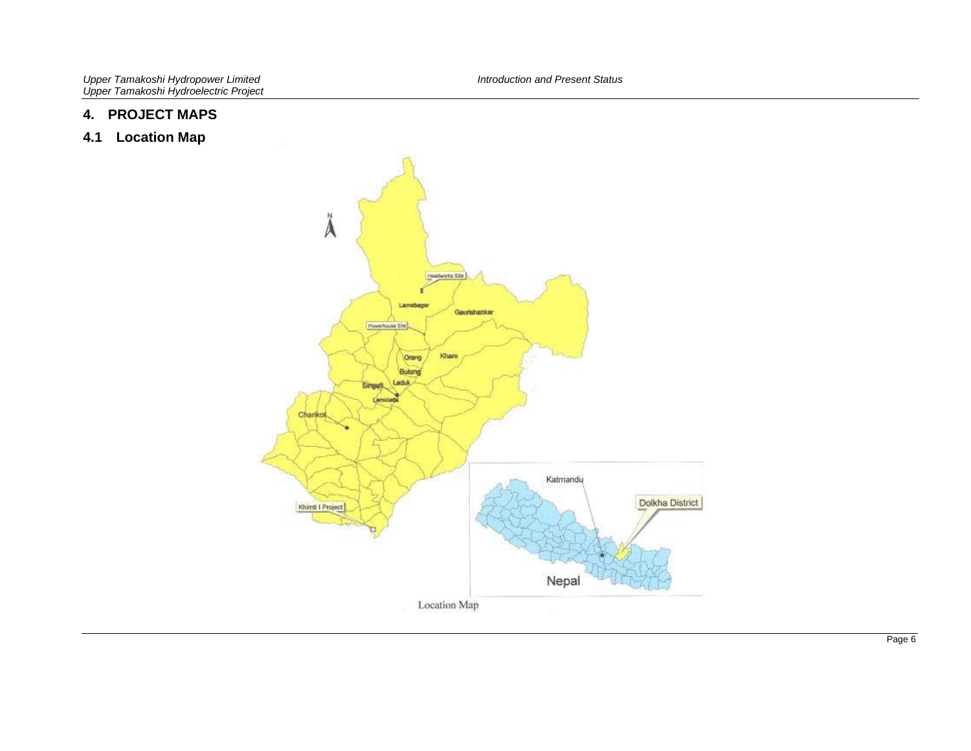#### **4. PROJECT MAPS**

**4.1 Location Map**